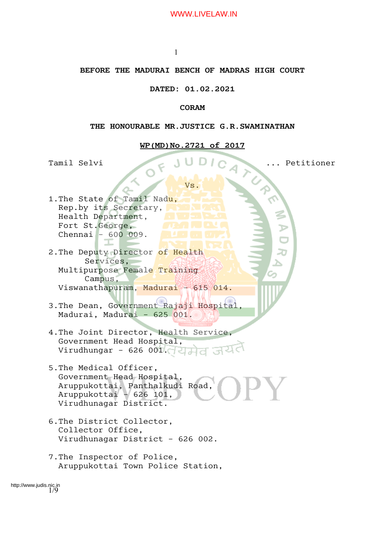1

## **BEFORE THE MADURAI BENCH OF MADRAS HIGH COURT**

## **DATED: 01.02.2021**

## **CORAM**

#### **THE HONOURABLE MR.JUSTICE G.R.SWAMINATHAN**

#### **WP(MD)No.2721 of 2017**

Tamil Selvi ... Petitioner

Vs.

1.The State of Tamil Nadu, Rep.by its Secretary, Health Department, Fort St.George, Chennai – 600 009.

T

2. The Deputy Director of Health Services, Multipurpose Female Training Campus, Viswanathapuram, Madurai – 615 014.

- 3.The Dean, Government Rajaji Hospital, Madurai, Madurai – 625 001.
- 4.The Joint Director, Health Service, Government Head Hospital, Virudhungar - 626 001. $\sqrt{2}$
- 5.The Medical Officer, Government Head Hospital, Aruppukottai, Panthalkudi Road, Aruppukottai – 626 101, Virudhunagar District.
- 6.The District Collector, Collector Office, Virudhunagar District – 626 002.
- 7.The Inspector of Police, Aruppukottai Town Police Station,

1/9 http://www.judis.nic.in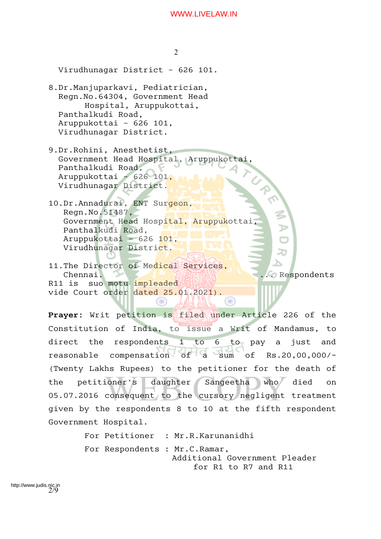2 Virudhunagar District – 626 101. 8.Dr.Manjuparkavi, Pediatrician, Regn.No.64304, Government Head Hospital, Aruppukottai, Panthalkudi Road, Aruppukottai – 626 101, Virudhunagar District. 9.Dr.Rohini, Anesthetist, Government Head Hospital, Aruppukottai, Panthalkudi Road, Aruppukottai – 626 101, Virudhunagar District. 10.Dr.Annadurai, ENT Surgeon, Regn.No.51487, Government Head Hospital, Aruppukottai, Panthalkudi Road, Aruppukottai - 626 101, Virudhunagar District. 11. The Director of Medical Services, Chennai. Manual Respondents R11 is suo motu impleaded vide Court order dated 25.01.2021). (C) **Prayer:** Writ petition is filed under Article 226 of the

Constitution of India, to issue a Writ of Mandamus, to direct the respondents 1 to 6 to pay a just and reasonable compensation of a sum of Rs.20,00,000/-(Twenty Lakhs Rupees) to the petitioner for the death of the petitioner's daughter Sangeetha who died on 05.07.2016 consequent to the cursory negligent treatment given by the respondents 8 to 10 at the fifth respondent Government Hospital.

> For Petitioner : Mr.R.Karunanidhi For Respondents : Mr.C.Ramar, Additional Government Pleader for R1 to R7 and R11

2/9 http://www.judis.nic.in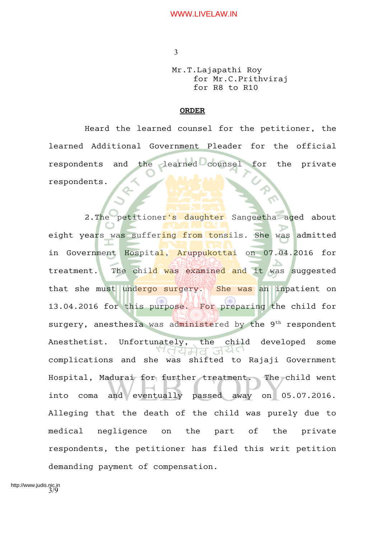Mr.T.Lajapathi Roy for Mr.C.Prithviraj for R8 to R10

## **ORDER**

Heard the learned counsel for the petitioner, the learned Additional Government Pleader for the official respondents and the learned counsel for the private respondents.

2. The petitioner's daughter Sangeetha aged about eight years was suffering from tonsils. She was admitted in Government Hospital, Aruppukottai on 07.04.2016 for treatment. The child was examined and it was suggested that she must undergo surgery. She was an inpatient on 13.04.2016 for this purpose. For preparing the child for surgery, anesthesia was administered by the  $9<sup>th</sup>$  respondent Anesthetist. Unfortunately, the child developed some 'तयमव ञय complications and she was shifted to Rajaji Government Hospital, Madurai for further treatment. The child went into coma and eventually passed away on 05.07.2016. Alleging that the death of the child was purely due to medical negligence on the part of the private respondents, the petitioner has filed this writ petition demanding payment of compensation.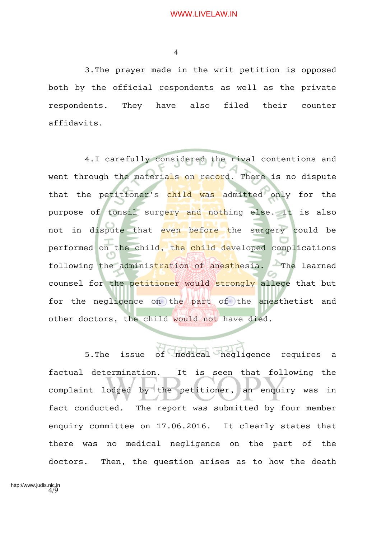3.The prayer made in the writ petition is opposed both by the official respondents as well as the private respondents. They have also filed their counter affidavits.

4.I carefully considered the rival contentions and went through the materials on record. There is no dispute that the petitioner's child was admitted only for the purpose of tonsil surgery and nothing else. It is also not in dispute that even before the surgery could be performed on the child, the child developed complications following the administration of anesthesia. The learned counsel for the petitioner would strongly allege that but for the negligence on the part of the anesthetist and other doctors, the child would not have died.

5.The issue of medical negligence requires a factual determination. It is seen that following the complaint lodged by the petitioner, an enquiry was in fact conducted. The report was submitted by four member enquiry committee on 17.06.2016. It clearly states that there was no medical negligence on the part of the doctors. Then, the question arises as to how the death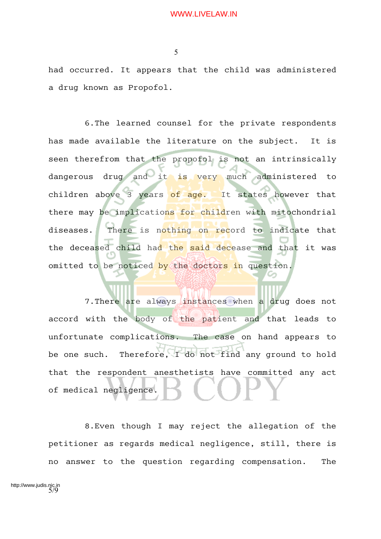5

had occurred. It appears that the child was administered a drug known as Propofol.

6.The learned counsel for the private respondents has made available the literature on the subject. It is seen therefrom that the propofol is not an intrinsically dangerous drug and it is very much administered to children above 3 years of age. It states however that there may be implications for children with mitochondrial diseases. There is nothing on record to indicate that the deceased child had the said decease and that it was omitted to be noticed by the doctors in question.

7. There are always instances when a drug does not accord with the body of the patient and that leads to unfortunate complications. The case on hand appears to be one such. Therefore, I do not find any ground to hold that the respondent anesthetists have committed any act of medical negligence.

8.Even though I may reject the allegation of the petitioner as regards medical negligence, still, there is no answer to the question regarding compensation. The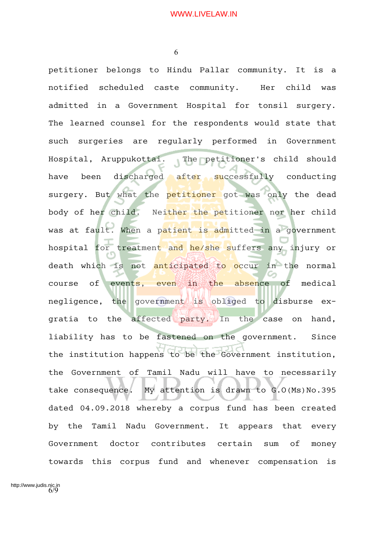petitioner belongs to Hindu Pallar community. It is a notified scheduled caste community. Her child was admitted in a Government Hospital for tonsil surgery. The learned counsel for the respondents would state that such surgeries are regularly performed in Government Hospital, Aruppukottai. The petitioner's child should have been discharged after successfully conducting surgery. But what the petitioner got was only the dead body of her child. Neither the petitioner nor her child was at fault. When a patient is admitted in a government hospital for treatment and he/she suffers any injury or death which is not anticipated to occur in the normal course of events, even in the absence of medical negligence, the government is obliged to disburse exgratia to the affected party. In the case on hand, liability has to be fastened on the government. Since the institution happens to be the Government institution, the Government of Tamil Nadu will have to necessarily take consequence. My attention is drawn to G.O(Ms)No.395 dated 04.09.2018 whereby a corpus fund has been created by the Tamil Nadu Government. It appears that every Government doctor contributes certain sum of money towards this corpus fund and whenever compensation is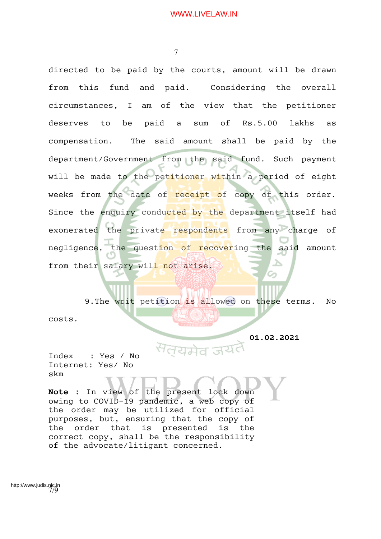directed to be paid by the courts, amount will be drawn from this fund and paid. Considering the overall circumstances, I am of the view that the petitioner deserves to be paid a sum of Rs.5.00 lakhs as compensation. The said amount shall be paid by the department/Government from the said fund. Such payment will be made to the petitioner within a period of eight weeks from the date of receipt of copy of this order. Since the enquiry conducted by the department itself had exonerated the private respondents from any charge of negligence, the question of recovering the said amount from their salary will not arise.

9. The writ petition is allowed on these terms. No costs.

 **01.02.2021**

Index : Yes / No Internet: Yes/ No skm

**Note :** In view of the present lock down owing to COVID-19 pandemic, a web copy of the order may be utilized for official purposes, but, ensuring that the copy of the order that is presented is the correct copy, shall be the responsibility of the advocate/litigant concerned.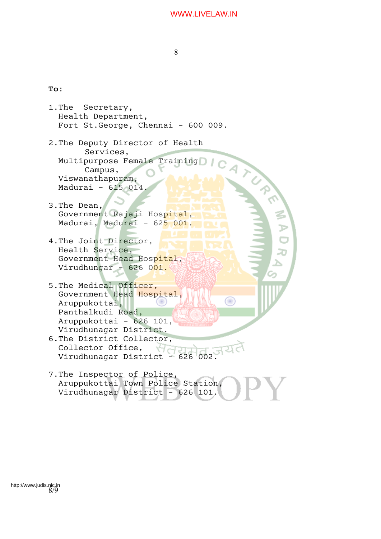8

# **To:**

- 1.The Secretary, Health Department, Fort St.George, Chennai – 600 009. **DENTRUMINERS** 2.The Deputy Director of Health Services, Multipurpose Female Training Campus, Viswanathapuram, Madurai – 615 014. 3.The Dean, Government Rajaji Hospital, Madurai, Madurai - 625 001. 4.The Joint Director, Health Service, Government Head Hospital, Virudhungar - 626 001. 5.The Medical Officer, Government Head Hospital, ∩ Aruppukottai, Panthalkudi Road, Aruppukottai – 626 101, Virudhunagar District. 6.The District Collector,<br>Collector Office, Collector Office, Virudhunagar District – 626 002.
- 7.The Inspector of Police, Aruppukottai Town Police Station, Virudhunagar District – 626 101.